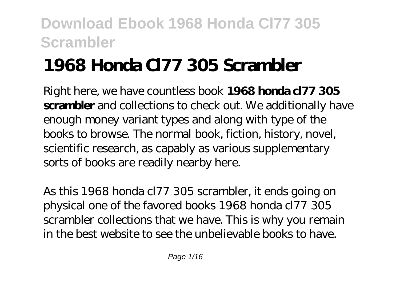# **1968 Honda Cl77 305 Scrambler**

Right here, we have countless book **1968 honda cl77 305 scrambler** and collections to check out. We additionally have enough money variant types and along with type of the books to browse. The normal book, fiction, history, novel, scientific research, as capably as various supplementary sorts of books are readily nearby here.

As this 1968 honda cl77 305 scrambler, it ends going on physical one of the favored books 1968 honda cl77 305 scrambler collections that we have. This is why you remain in the best website to see the unbelievable books to have.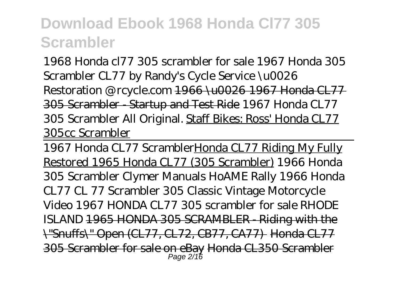1968 Honda cl77 305 scrambler for sale *1967 Honda 305 Scrambler CL77 by Randy's Cycle Service \u0026 Restoration @ rcycle.com* 1966 \u0026 1967 Honda CL77 305 Scrambler - Startup and Test Ride *1967 Honda CL77 305 Scrambler All Original.* Staff Bikes: Ross' Honda CL77 305cc Scrambler

1967 Honda CL77 ScramblerHonda CL77 Riding My Fully Restored 1965 Honda CL77 (305 Scrambler) 1966 Honda 305 Scrambler *Clymer Manuals HoAME Rally 1966 Honda CL77 CL 77 Scrambler 305 Classic Vintage Motorcycle Video 1967 HONDA CL77 305 scrambler for sale RHODE ISLAND* 1965 HONDA 305 SCRAMBLER - Riding with the \"Snuffs\" Open (CL77, CL72, CB77, CA77) Honda CL77 305 Scrambler for sale on eBay Honda CL350 Scrambler Page 2/16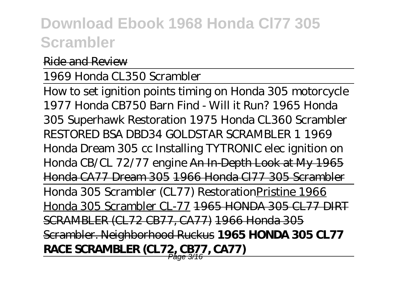Ride and Review

1969 Honda CL350 Scrambler

How to set ignition points timing on Honda 305 motorcycle *1977 Honda CB750 Barn Find - Will it Run? 1965 Honda 305 Superhawk Restoration 1975 Honda CL360 Scrambler RESTORED BSA DBD34 GOLDSTAR SCRAMBLER 1 1969 Honda Dream 305 cc Installing TYTRONIC elec ignition on Honda CB/CL 72/77 engine* An In-Depth Look at My 1965 Honda CA77 Dream 305 1966 Honda Cl77 305 Scrambler Honda 305 Scrambler (CL77) RestorationPristine 1966 Honda 305 Scrambler CL-77 1965 HONDA 305 CL77 DIRT SCRAMBLER (CL72 CB77, CA77) 1966 Honda 305 Scrambler. Neighborhood Ruckus **1965 HONDA 305 CL77 RACE SCRAMBLER (CL72, CB77, CA77)**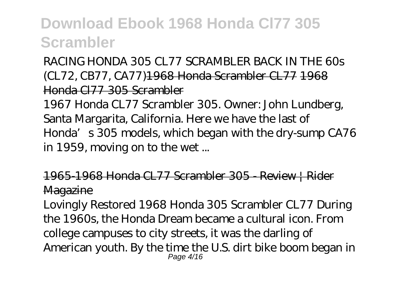RACING HONDA 305 CL77 SCRAMBLER BACK IN THE 60s (CL72, CB77, CA77)1968 Honda Scrambler CL77 1968 Honda Cl77 305 Scrambler

1967 Honda CL77 Scrambler 305. Owner: John Lundberg, Santa Margarita, California. Here we have the last of Honda's 305 models, which began with the dry-sump CA76 in 1959, moving on to the wet ...

1965-1968 Honda CL77 Scrambler 305 - Review | Rider **Magazine** 

Lovingly Restored 1968 Honda 305 Scrambler CL77 During the 1960s, the Honda Dream became a cultural icon. From college campuses to city streets, it was the darling of American youth. By the time the U.S. dirt bike boom began in Page 4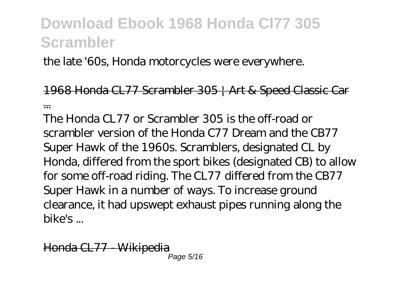the late '60s, Honda motorcycles were everywhere.

1968 Honda CL77 Scrambler 305 | Art & Speed Classic Car ...

The Honda CL77 or Scrambler 305 is the off-road or scrambler version of the Honda C77 Dream and the CB77 Super Hawk of the 1960s. Scramblers, designated CL by Honda, differed from the sport bikes (designated CB) to allow for some off-road riding. The CL77 differed from the CB77 Super Hawk in a number of ways. To increase ground clearance, it had upswept exhaust pipes running along the bike's ...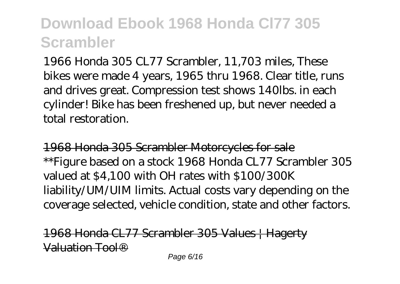1966 Honda 305 CL77 Scrambler, 11,703 miles, These bikes were made 4 years, 1965 thru 1968. Clear title, runs and drives great. Compression test shows 140lbs. in each cylinder! Bike has been freshened up, but never needed a total restoration.

1968 Honda 305 Scrambler Motorcycles for sale \*\*Figure based on a stock 1968 Honda CL77 Scrambler 305 valued at \$4,100 with OH rates with \$100/300K liability/UM/UIM limits. Actual costs vary depending on the coverage selected, vehicle condition, state and other factors.

1968 Honda CL77 Scrambler 305 Values | Hagerty Valuation Tool®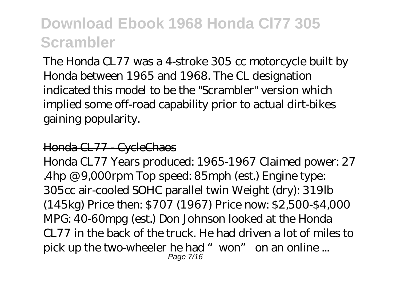The Honda CL77 was a 4-stroke 305 cc motorcycle built by Honda between 1965 and 1968. The CL designation indicated this model to be the "Scrambler" version which implied some off-road capability prior to actual dirt-bikes gaining popularity.

#### Honda CL77 - CycleChaos

Honda CL77 Years produced: 1965-1967 Claimed power: 27 .4hp @ 9,000rpm Top speed: 85mph (est.) Engine type: 305cc air-cooled SOHC parallel twin Weight (dry): 319lb (145kg) Price then: \$707 (1967) Price now: \$2,500-\$4,000 MPG: 40-60mpg (est.) Don Johnson looked at the Honda CL77 in the back of the truck. He had driven a lot of miles to pick up the two-wheeler he had "won" on an online ... Page 7/16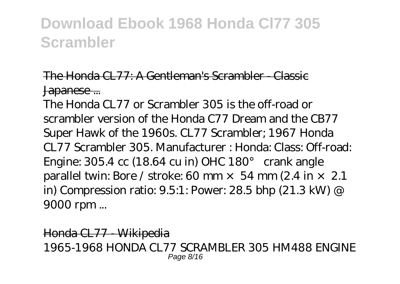#### The Honda CL77: A Gentleman's Scrambler - Classic Japanese ...

The Honda CL77 or Scrambler 305 is the off-road or scrambler version of the Honda C77 Dream and the CB77 Super Hawk of the 1960s. CL77 Scrambler; 1967 Honda CL77 Scrambler 305. Manufacturer : Honda: Class: Off-road: Engine: 305.4 cc (18.64 cu in) OHC 180° crank angle parallel twin: Bore / stroke: 60 mm  $\times$  54 mm (2.4 in  $\times$  2.1 in) Compression ratio: 9.5:1: Power: 28.5 bhp (21.3 kW) @ 9000 rpm ...

Honda CL77 - Wikipedia 1965-1968 HONDA CL77 SCRAMBLER 305 HM488 ENGINE Page 8/16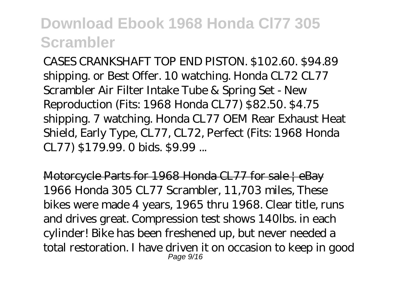CASES CRANKSHAFT TOP END PISTON. \$102.60. \$94.89 shipping. or Best Offer. 10 watching. Honda CL72 CL77 Scrambler Air Filter Intake Tube & Spring Set - New Reproduction (Fits: 1968 Honda CL77) \$82.50. \$4.75 shipping. 7 watching. Honda CL77 OEM Rear Exhaust Heat Shield, Early Type, CL77, CL72, Perfect (Fits: 1968 Honda CL77) \$179.99. 0 bids. \$9.99 ...

Motorcycle Parts for 1968 Honda CL77 for sale | eBay 1966 Honda 305 CL77 Scrambler, 11,703 miles, These bikes were made 4 years, 1965 thru 1968. Clear title, runs and drives great. Compression test shows 140lbs. in each cylinder! Bike has been freshened up, but never needed a total restoration. I have driven it on occasion to keep in good Page  $9/16$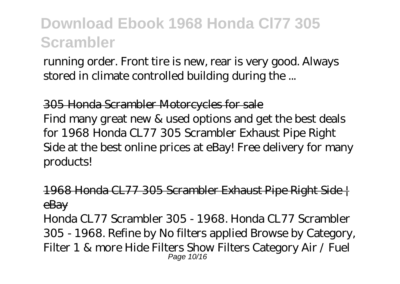running order. Front tire is new, rear is very good. Always stored in climate controlled building during the ...

305 Honda Scrambler Motorcycles for sale Find many great new & used options and get the best deals for 1968 Honda CL77 305 Scrambler Exhaust Pipe Right Side at the best online prices at eBay! Free delivery for many products!

1968 Honda CL77 305 Scrambler Exhaust Pipe Right Side | eBay

Honda CL77 Scrambler 305 - 1968. Honda CL77 Scrambler 305 - 1968. Refine by No filters applied Browse by Category, Filter 1 & more Hide Filters Show Filters Category Air / Fuel Page 10/16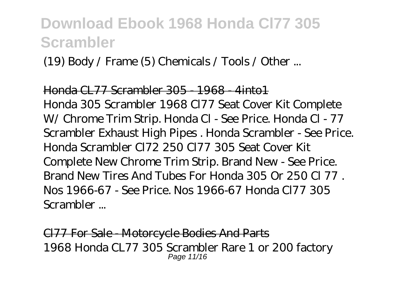(19) Body / Frame (5) Chemicals / Tools / Other ...

#### Honda CL77 Scrambler 305 - 1968 - 4into1

Honda 305 Scrambler 1968 Cl77 Seat Cover Kit Complete W/ Chrome Trim Strip. Honda Cl - See Price. Honda Cl - 77 Scrambler Exhaust High Pipes . Honda Scrambler - See Price. Honda Scrambler Cl72 250 Cl77 305 Seat Cover Kit Complete New Chrome Trim Strip. Brand New - See Price. Brand New Tires And Tubes For Honda 305 Or 250 Cl 77 . Nos 1966-67 - See Price. Nos 1966-67 Honda Cl77 305 Scrambler ...

Cl77 For Sale - Motorcycle Bodies And Parts 1968 Honda CL77 305 Scrambler Rare 1 or 200 factory Page 11/16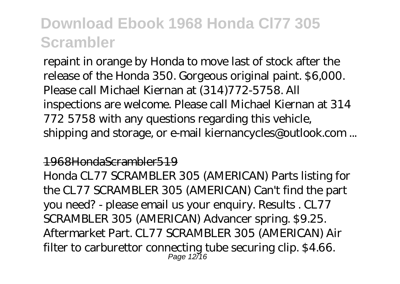repaint in orange by Honda to move last of stock after the release of the Honda 350. Gorgeous original paint. \$6,000. Please call Michael Kiernan at (314)772-5758. All inspections are welcome. Please call Michael Kiernan at 314 772 5758 with any questions regarding this vehicle, shipping and storage, or e-mail kiernancycles@outlook.com ...

#### 1968HondaScrambler519

Honda CL77 SCRAMBLER 305 (AMERICAN) Parts listing for the CL77 SCRAMBLER 305 (AMERICAN) Can't find the part you need? - please email us your enquiry. Results . CL77 SCRAMBLER 305 (AMERICAN) Advancer spring. \$9.25. Aftermarket Part. CL77 SCRAMBLER 305 (AMERICAN) Air filter to carburettor connecting tube securing clip. \$4.66. Page 12/16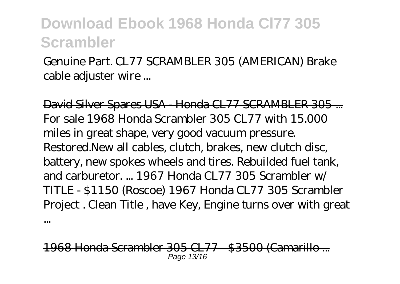Genuine Part. CL77 SCRAMBLER 305 (AMERICAN) Brake cable adjuster wire ...

David Silver Spares USA - Honda CL77 SCRAMBLER 305 ... For sale 1968 Honda Scrambler 305 CL77 with 15.000 miles in great shape, very good vacuum pressure. Restored.New all cables, clutch, brakes, new clutch disc, battery, new spokes wheels and tires. Rebuilded fuel tank, and carburetor. ... 1967 Honda CL77 305 Scrambler w/ TITLE - \$1150 (Roscoe) 1967 Honda CL77 305 Scrambler Project . Clean Title , have Key, Engine turns over with great

968 Honda Scrambler 305 CL77 - \$3500 (Camaril Page 13/16

...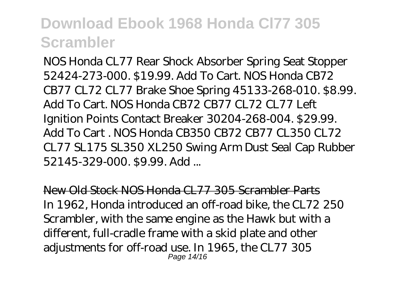NOS Honda CL77 Rear Shock Absorber Spring Seat Stopper 52424-273-000. \$19.99. Add To Cart. NOS Honda CB72 CB77 CL72 CL77 Brake Shoe Spring 45133-268-010. \$8.99. Add To Cart. NOS Honda CB72 CB77 CL72 CL77 Left Ignition Points Contact Breaker 30204-268-004. \$29.99. Add To Cart . NOS Honda CB350 CB72 CB77 CL350 CL72 CL77 SL175 SL350 XL250 Swing Arm Dust Seal Cap Rubber 52145-329-000. \$9.99. Add ...

New Old Stock NOS Honda CL77 305 Scrambler Parts In 1962, Honda introduced an off-road bike, the CL72 250 Scrambler, with the same engine as the Hawk but with a different, full-cradle frame with a skid plate and other adjustments for off-road use. In 1965, the CL77 305 Page 14/16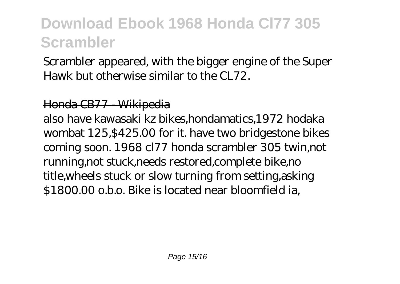Scrambler appeared, with the bigger engine of the Super Hawk but otherwise similar to the CL72.

#### Honda CB77 - Wikipedia

also have kawasaki kz bikes,hondamatics,1972 hodaka wombat 125,\$425.00 for it. have two bridgestone bikes coming soon. 1968 cl77 honda scrambler 305 twin,not running,not stuck,needs restored,complete bike,no title,wheels stuck or slow turning from setting,asking \$1800.00 o.b.o. Bike is located near bloomfield ia,